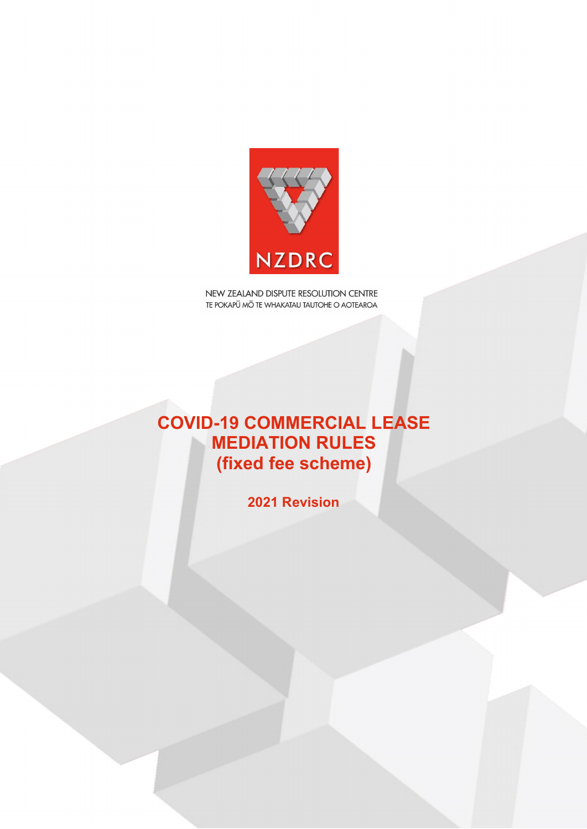

# **COVID-19 COMMERCIAL LEASE MEDIATION RULES (fixed fee scheme)**

**2021 Revision**

© NZDRC 2017 –ARBITRATION RULES – Version 6.0 August 2017 1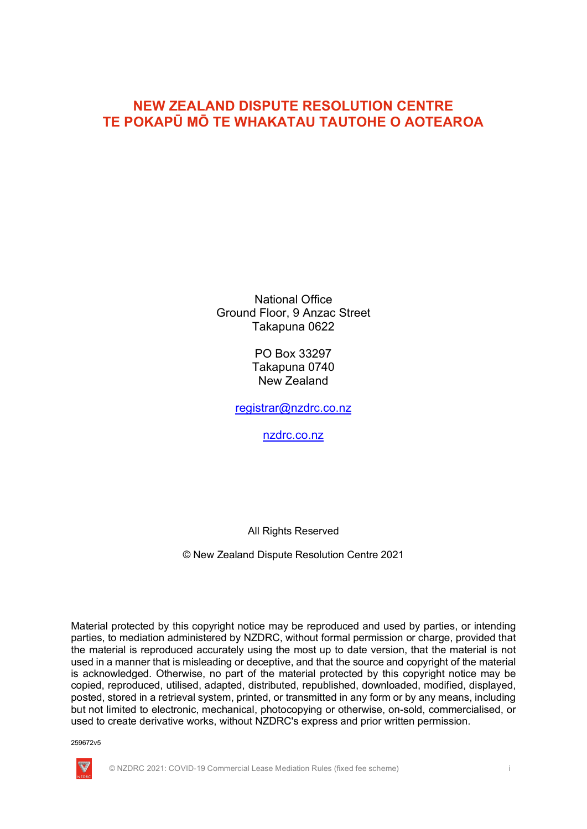National Office Ground Floor, 9 Anzac Street Takapuna 0622

> PO Box 33297 Takapuna 0740 New Zealand

registrar@nzdrc.co.nz

nzdrc.co.nz

All Rights Reserved

© New Zealand Dispute Resolution Centre 2021

Material protected by this copyright notice may be reproduced and used by parties, or intending parties, to mediation administered by NZDRC, without formal permission or charge, provided that the material is reproduced accurately using the most up to date version, that the material is not used in a manner that is misleading or deceptive, and that the source and copyright of the material is acknowledged. Otherwise, no part of the material protected by this copyright notice may be copied, reproduced, utilised, adapted, distributed, republished, downloaded, modified, displayed, posted, stored in a retrieval system, printed, or transmitted in any form or by any means, including but not limited to electronic, mechanical, photocopying or otherwise, on-sold, commercialised, or used to create derivative works, without NZDRC's express and prior written permission.

259672v5



© NZDRC 2021: COVID-19 Commercial Lease Mediation Rules (fixed fee scheme) i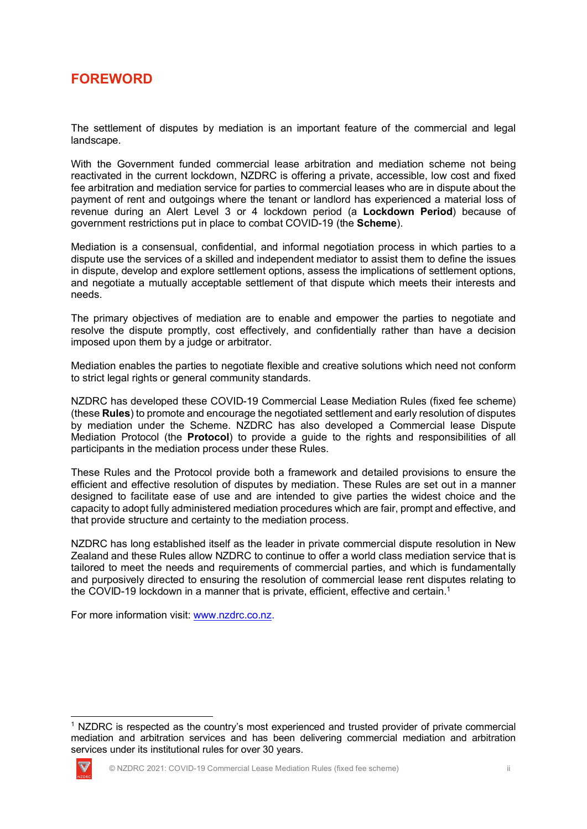## **FOREWORD**

The settlement of disputes by mediation is an important feature of the commercial and legal landscape.

With the Government funded commercial lease arbitration and mediation scheme not being reactivated in the current lockdown, NZDRC is offering a private, accessible, low cost and fixed fee arbitration and mediation service for parties to commercial leases who are in dispute about the payment of rent and outgoings where the tenant or landlord has experienced a material loss of revenue during an Alert Level 3 or 4 lockdown period (a **Lockdown Period**) because of government restrictions put in place to combat COVID-19 (the **Scheme**).

Mediation is a consensual, confidential, and informal negotiation process in which parties to a dispute use the services of a skilled and independent mediator to assist them to define the issues in dispute, develop and explore settlement options, assess the implications of settlement options, and negotiate a mutually acceptable settlement of that dispute which meets their interests and needs.

The primary objectives of mediation are to enable and empower the parties to negotiate and resolve the dispute promptly, cost effectively, and confidentially rather than have a decision imposed upon them by a judge or arbitrator.

Mediation enables the parties to negotiate flexible and creative solutions which need not conform to strict legal rights or general community standards.

NZDRC has developed these COVID-19 Commercial Lease Mediation Rules (fixed fee scheme) (these **Rules**) to promote and encourage the negotiated settlement and early resolution of disputes by mediation under the Scheme. NZDRC has also developed a Commercial lease Dispute Mediation Protocol (the **Protocol**) to provide a guide to the rights and responsibilities of all participants in the mediation process under these Rules.

These Rules and the Protocol provide both a framework and detailed provisions to ensure the efficient and effective resolution of disputes by mediation. These Rules are set out in a manner designed to facilitate ease of use and are intended to give parties the widest choice and the capacity to adopt fully administered mediation procedures which are fair, prompt and effective, and that provide structure and certainty to the mediation process.

NZDRC has long established itself as the leader in private commercial dispute resolution in New Zealand and these Rules allow NZDRC to continue to offer a world class mediation service that is tailored to meet the needs and requirements of commercial parties, and which is fundamentally and purposively directed to ensuring the resolution of commercial lease rent disputes relating to the COVID-19 lockdown in a manner that is private, efficient, effective and certain.<sup>1</sup>

For more information visit: www.nzdrc.co.nz.

<sup>&</sup>lt;sup>1</sup> NZDRC is respected as the country's most experienced and trusted provider of private commercial mediation and arbitration services and has been delivering commercial mediation and arbitration services under its institutional rules for over 30 years.

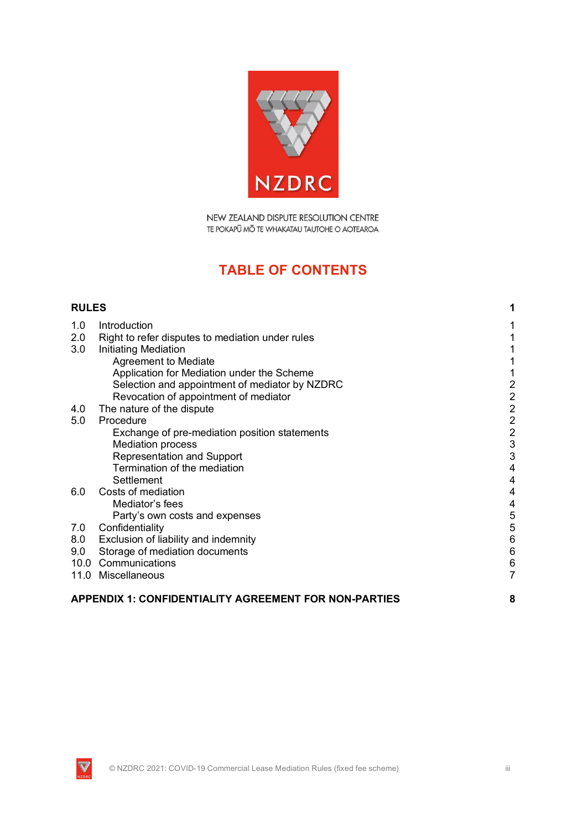

## **TABLE OF CONTENTS**

| <b>RULES</b>                                                 |                                                  | 1                       |
|--------------------------------------------------------------|--------------------------------------------------|-------------------------|
| 1.0                                                          | Introduction                                     | 1                       |
| 2.0                                                          | Right to refer disputes to mediation under rules | 1                       |
| 3.0                                                          | <b>Initiating Mediation</b>                      |                         |
|                                                              | Agreement to Mediate                             |                         |
|                                                              | Application for Mediation under the Scheme       | 1                       |
|                                                              | Selection and appointment of mediator by NZDRC   | $\overline{c}$          |
|                                                              | Revocation of appointment of mediator            |                         |
| 4.0                                                          | The nature of the dispute                        |                         |
| 5.0                                                          | Procedure                                        | $2222$ $3$              |
|                                                              | Exchange of pre-mediation position statements    |                         |
|                                                              | <b>Mediation process</b>                         |                         |
|                                                              | <b>Representation and Support</b>                | 3                       |
|                                                              | Termination of the mediation                     | $\overline{4}$          |
|                                                              | Settlement                                       | $\overline{4}$          |
| 6.0                                                          | Costs of mediation                               | $\overline{4}$          |
|                                                              | Mediator's fees                                  | $\overline{\mathbf{4}}$ |
|                                                              | Party's own costs and expenses                   | 5                       |
| 7.0                                                          | Confidentiality                                  | 5                       |
| 8.0                                                          | Exclusion of liability and indemnity             | $6\phantom{1}6$         |
| 9.0                                                          | Storage of mediation documents                   | $6\phantom{1}6$         |
|                                                              | 10.0 Communications                              | $\,6$                   |
|                                                              | 11.0 Miscellaneous                               | $\overline{7}$          |
| <b>APPENDIX 1: CONFIDENTIALITY AGREEMENT FOR NON-PARTIES</b> |                                                  |                         |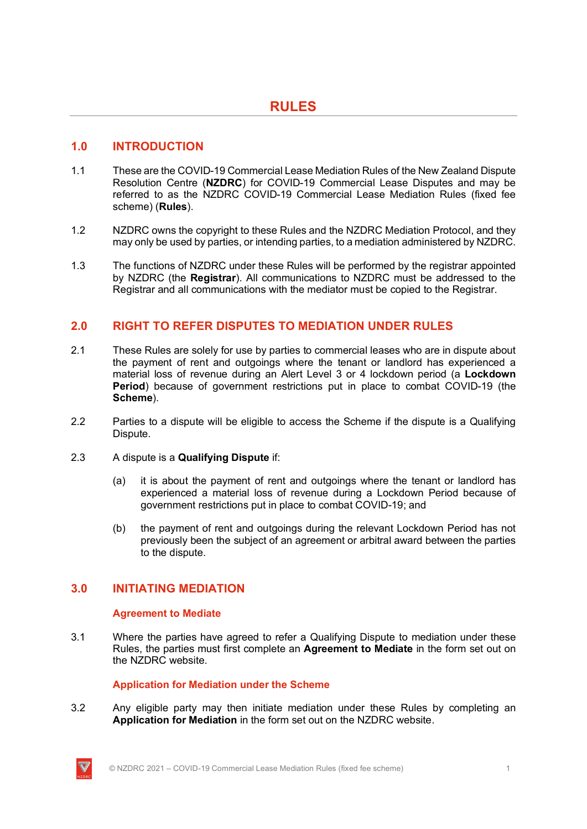### **1.0 INTRODUCTION**

- 1.1 These are the COVID-19 Commercial Lease Mediation Rules of the New Zealand Dispute Resolution Centre (**NZDRC**) for COVID-19 Commercial Lease Disputes and may be referred to as the NZDRC COVID-19 Commercial Lease Mediation Rules (fixed fee scheme) (**Rules**).
- 1.2 NZDRC owns the copyright to these Rules and the NZDRC Mediation Protocol, and they may only be used by parties, or intending parties, to a mediation administered by NZDRC.
- 1.3 The functions of NZDRC under these Rules will be performed by the registrar appointed by NZDRC (the **Registrar**). All communications to NZDRC must be addressed to the Registrar and all communications with the mediator must be copied to the Registrar.

## **2.0 RIGHT TO REFER DISPUTES TO MEDIATION UNDER RULES**

- 2.1 These Rules are solely for use by parties to commercial leases who are in dispute about the payment of rent and outgoings where the tenant or landlord has experienced a material loss of revenue during an Alert Level 3 or 4 lockdown period (a **Lockdown Period**) because of government restrictions put in place to combat COVID-19 (the **Scheme**).
- 2.2 Parties to a dispute will be eligible to access the Scheme if the dispute is a Qualifying Dispute.
- 2.3 A dispute is a **Qualifying Dispute** if:
	- (a) it is about the payment of rent and outgoings where the tenant or landlord has experienced a material loss of revenue during a Lockdown Period because of government restrictions put in place to combat COVID-19; and
	- (b) the payment of rent and outgoings during the relevant Lockdown Period has not previously been the subject of an agreement or arbitral award between the parties to the dispute.

### **3.0 INITIATING MEDIATION**

#### **Agreement to Mediate**

3.1 Where the parties have agreed to refer a Qualifying Dispute to mediation under these Rules, the parties must first complete an **Agreement to Mediate** in the form set out on the NZDRC website.

#### **Application for Mediation under the Scheme**

3.2 Any eligible party may then initiate mediation under these Rules by completing an **Application for Mediation** in the form set out on the NZDRC website.

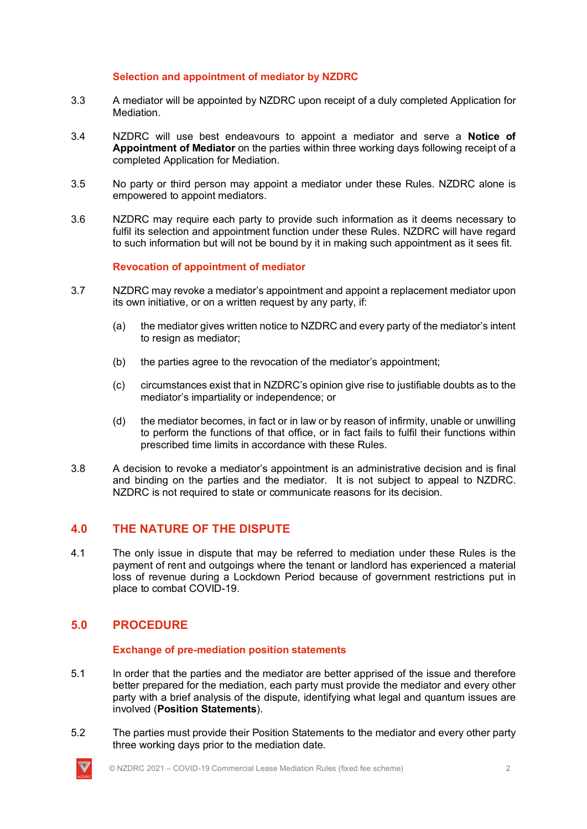#### **Selection and appointment of mediator by NZDRC**

- 3.3 A mediator will be appointed by NZDRC upon receipt of a duly completed Application for Mediation.
- 3.4 NZDRC will use best endeavours to appoint a mediator and serve a **Notice of Appointment of Mediator** on the parties within three working days following receipt of a completed Application for Mediation.
- 3.5 No party or third person may appoint a mediator under these Rules. NZDRC alone is empowered to appoint mediators.
- 3.6 NZDRC may require each party to provide such information as it deems necessary to fulfil its selection and appointment function under these Rules. NZDRC will have regard to such information but will not be bound by it in making such appointment as it sees fit.

#### **Revocation of appointment of mediator**

- 3.7 NZDRC may revoke a mediator's appointment and appoint a replacement mediator upon its own initiative, or on a written request by any party, if:
	- (a) the mediator gives written notice to NZDRC and every party of the mediator's intent to resign as mediator;
	- (b) the parties agree to the revocation of the mediator's appointment;
	- (c) circumstances exist that in NZDRC's opinion give rise to justifiable doubts as to the mediator's impartiality or independence; or
	- (d) the mediator becomes, in fact or in law or by reason of infirmity, unable or unwilling to perform the functions of that office, or in fact fails to fulfil their functions within prescribed time limits in accordance with these Rules.
- 3.8 A decision to revoke a mediator's appointment is an administrative decision and is final and binding on the parties and the mediator. It is not subject to appeal to NZDRC. NZDRC is not required to state or communicate reasons for its decision.

## **4.0 THE NATURE OF THE DISPUTE**

4.1 The only issue in dispute that may be referred to mediation under these Rules is the payment of rent and outgoings where the tenant or landlord has experienced a material loss of revenue during a Lockdown Period because of government restrictions put in place to combat COVID-19.

## **5.0 PROCEDURE**

#### **Exchange of pre-mediation position statements**

- 5.1 In order that the parties and the mediator are better apprised of the issue and therefore better prepared for the mediation, each party must provide the mediator and every other party with a brief analysis of the dispute, identifying what legal and quantum issues are involved (**Position Statements**).
- 5.2 The parties must provide their Position Statements to the mediator and every other party three working days prior to the mediation date.

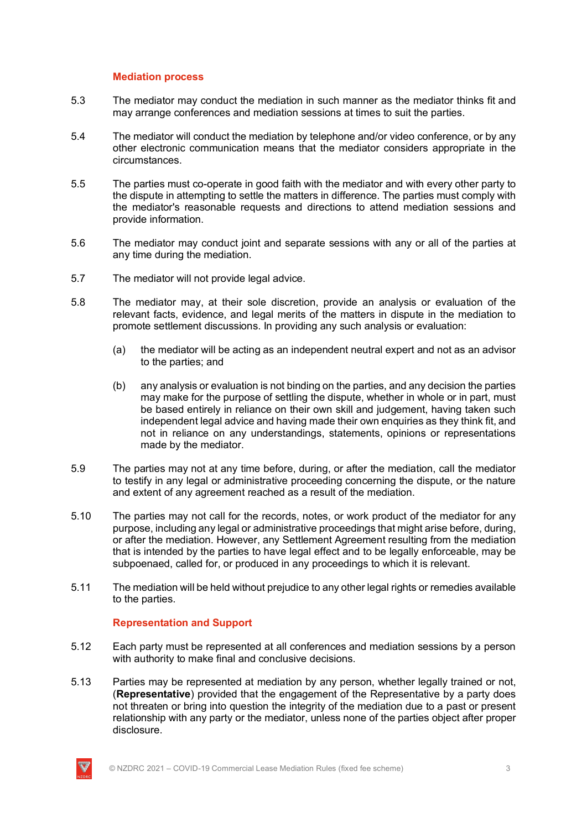#### **Mediation process**

- 5.3 The mediator may conduct the mediation in such manner as the mediator thinks fit and may arrange conferences and mediation sessions at times to suit the parties.
- 5.4 The mediator will conduct the mediation by telephone and/or video conference, or by any other electronic communication means that the mediator considers appropriate in the circumstances.
- 5.5 The parties must co-operate in good faith with the mediator and with every other party to the dispute in attempting to settle the matters in difference. The parties must comply with the mediator's reasonable requests and directions to attend mediation sessions and provide information.
- 5.6 The mediator may conduct joint and separate sessions with any or all of the parties at any time during the mediation.
- 5.7 The mediator will not provide legal advice.
- 5.8 The mediator may, at their sole discretion, provide an analysis or evaluation of the relevant facts, evidence, and legal merits of the matters in dispute in the mediation to promote settlement discussions. In providing any such analysis or evaluation:
	- (a) the mediator will be acting as an independent neutral expert and not as an advisor to the parties; and
	- (b) any analysis or evaluation is not binding on the parties, and any decision the parties may make for the purpose of settling the dispute, whether in whole or in part, must be based entirely in reliance on their own skill and judgement, having taken such independent legal advice and having made their own enquiries as they think fit, and not in reliance on any understandings, statements, opinions or representations made by the mediator.
- 5.9 The parties may not at any time before, during, or after the mediation, call the mediator to testify in any legal or administrative proceeding concerning the dispute, or the nature and extent of any agreement reached as a result of the mediation.
- 5.10 The parties may not call for the records, notes, or work product of the mediator for any purpose, including any legal or administrative proceedings that might arise before, during, or after the mediation. However, any Settlement Agreement resulting from the mediation that is intended by the parties to have legal effect and to be legally enforceable, may be subpoenaed, called for, or produced in any proceedings to which it is relevant.
- 5.11 The mediation will be held without prejudice to any other legal rights or remedies available to the parties.

#### **Representation and Support**

- 5.12 Each party must be represented at all conferences and mediation sessions by a person with authority to make final and conclusive decisions.
- 5.13 Parties may be represented at mediation by any person, whether legally trained or not, (**Representative**) provided that the engagement of the Representative by a party does not threaten or bring into question the integrity of the mediation due to a past or present relationship with any party or the mediator, unless none of the parties object after proper disclosure.

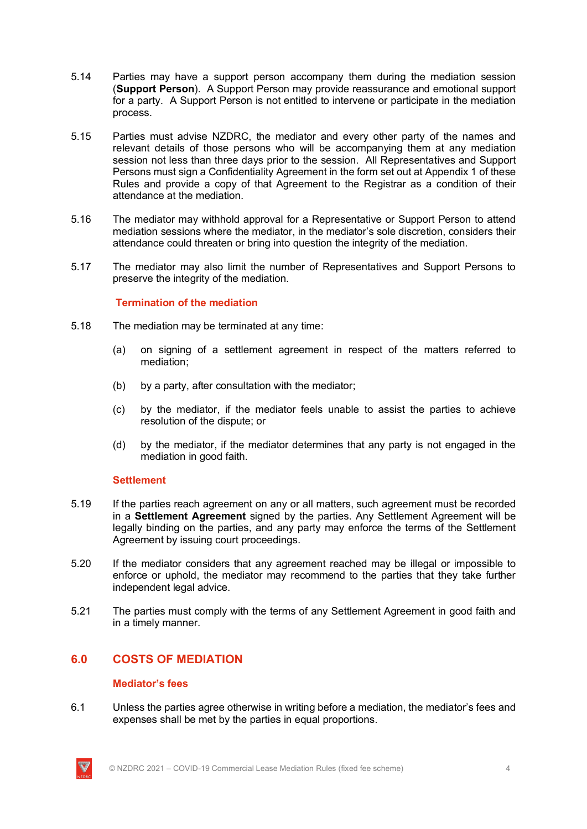- 5.14 Parties may have a support person accompany them during the mediation session (**Support Person**). A Support Person may provide reassurance and emotional support for a party. A Support Person is not entitled to intervene or participate in the mediation process.
- 5.15 Parties must advise NZDRC, the mediator and every other party of the names and relevant details of those persons who will be accompanying them at any mediation session not less than three days prior to the session. All Representatives and Support Persons must sign a Confidentiality Agreement in the form set out at Appendix 1 of these Rules and provide a copy of that Agreement to the Registrar as a condition of their attendance at the mediation.
- 5.16 The mediator may withhold approval for a Representative or Support Person to attend mediation sessions where the mediator, in the mediator's sole discretion, considers their attendance could threaten or bring into question the integrity of the mediation.
- 5.17 The mediator may also limit the number of Representatives and Support Persons to preserve the integrity of the mediation.

#### **Termination of the mediation**

- 5.18 The mediation may be terminated at any time:
	- (a) on signing of a settlement agreement in respect of the matters referred to mediation;
	- (b) by a party, after consultation with the mediator;
	- (c) by the mediator, if the mediator feels unable to assist the parties to achieve resolution of the dispute; or
	- (d) by the mediator, if the mediator determines that any party is not engaged in the mediation in good faith.

#### **Settlement**

- 5.19 If the parties reach agreement on any or all matters, such agreement must be recorded in a **Settlement Agreement** signed by the parties. Any Settlement Agreement will be legally binding on the parties, and any party may enforce the terms of the Settlement Agreement by issuing court proceedings.
- 5.20 If the mediator considers that any agreement reached may be illegal or impossible to enforce or uphold, the mediator may recommend to the parties that they take further independent legal advice.
- 5.21 The parties must comply with the terms of any Settlement Agreement in good faith and in a timely manner.

### **6.0 COSTS OF MEDIATION**

#### **Mediator's fees**

6.1 Unless the parties agree otherwise in writing before a mediation, the mediator's fees and expenses shall be met by the parties in equal proportions.

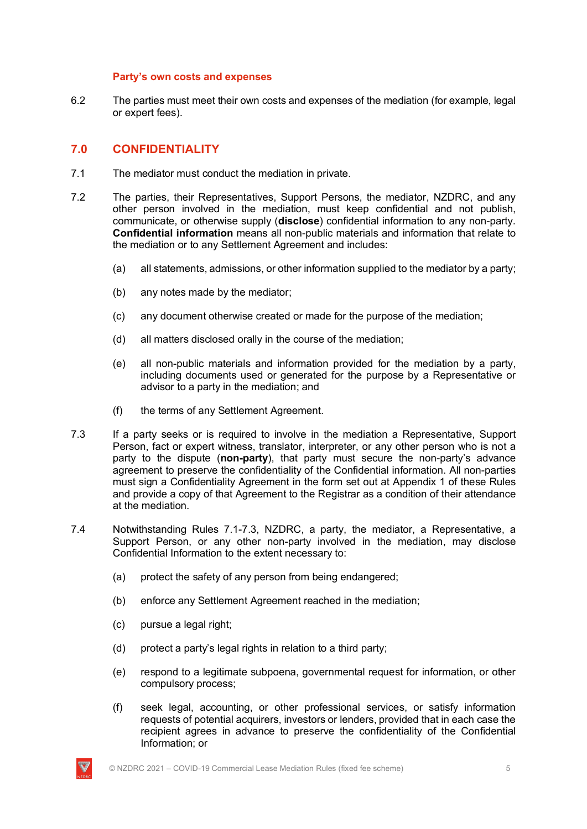#### **Party's own costs and expenses**

6.2 The parties must meet their own costs and expenses of the mediation (for example, legal or expert fees).

## **7.0 CONFIDENTIALITY**

- 7.1 The mediator must conduct the mediation in private.
- 7.2 The parties, their Representatives, Support Persons, the mediator, NZDRC, and any other person involved in the mediation, must keep confidential and not publish, communicate, or otherwise supply (**disclose**) confidential information to any non-party. **Confidential information** means all non-public materials and information that relate to the mediation or to any Settlement Agreement and includes:
	- (a) all statements, admissions, or other information supplied to the mediator by a party;
	- (b) any notes made by the mediator;
	- (c) any document otherwise created or made for the purpose of the mediation;
	- (d) all matters disclosed orally in the course of the mediation;
	- (e) all non-public materials and information provided for the mediation by a party, including documents used or generated for the purpose by a Representative or advisor to a party in the mediation; and
	- (f) the terms of any Settlement Agreement.
- 7.3 If a party seeks or is required to involve in the mediation a Representative, Support Person, fact or expert witness, translator, interpreter, or any other person who is not a party to the dispute (**non-party**), that party must secure the non-party's advance agreement to preserve the confidentiality of the Confidential information. All non-parties must sign a Confidentiality Agreement in the form set out at Appendix 1 of these Rules and provide a copy of that Agreement to the Registrar as a condition of their attendance at the mediation.
- 7.4 Notwithstanding Rules 7.1-7.3, NZDRC, a party, the mediator, a Representative, a Support Person, or any other non-party involved in the mediation, may disclose Confidential Information to the extent necessary to:
	- (a) protect the safety of any person from being endangered;
	- (b) enforce any Settlement Agreement reached in the mediation;
	- (c) pursue a legal right;
	- (d) protect a party's legal rights in relation to a third party;
	- (e) respond to a legitimate subpoena, governmental request for information, or other compulsory process;
	- (f) seek legal, accounting, or other professional services, or satisfy information requests of potential acquirers, investors or lenders, provided that in each case the recipient agrees in advance to preserve the confidentiality of the Confidential Information; or

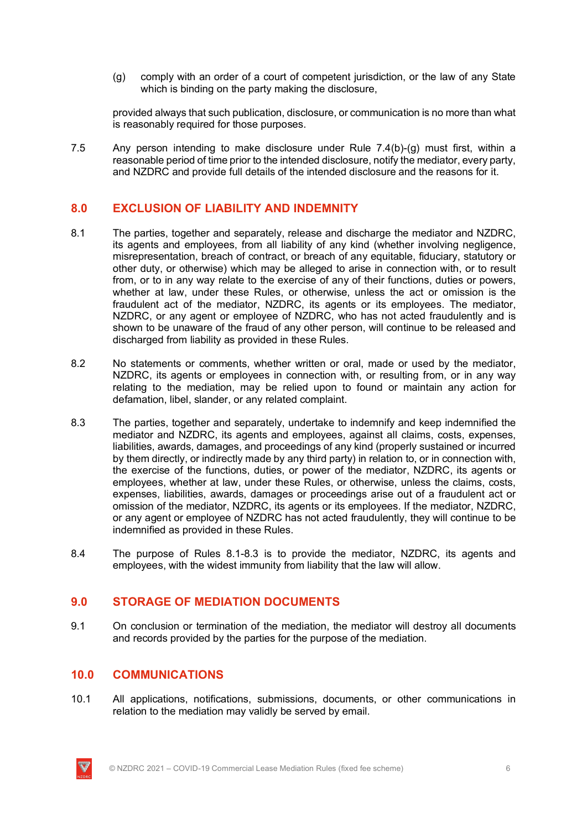(g) comply with an order of a court of competent jurisdiction, or the law of any State which is binding on the party making the disclosure,

provided always that such publication, disclosure, or communication is no more than what is reasonably required for those purposes.

7.5 Any person intending to make disclosure under Rule 7.4(b)-(g) must first, within a reasonable period of time prior to the intended disclosure, notify the mediator, every party, and NZDRC and provide full details of the intended disclosure and the reasons for it.

## **8.0 EXCLUSION OF LIABILITY AND INDEMNITY**

- 8.1 The parties, together and separately, release and discharge the mediator and NZDRC, its agents and employees, from all liability of any kind (whether involving negligence, misrepresentation, breach of contract, or breach of any equitable, fiduciary, statutory or other duty, or otherwise) which may be alleged to arise in connection with, or to result from, or to in any way relate to the exercise of any of their functions, duties or powers, whether at law, under these Rules, or otherwise, unless the act or omission is the fraudulent act of the mediator, NZDRC, its agents or its employees. The mediator, NZDRC, or any agent or employee of NZDRC, who has not acted fraudulently and is shown to be unaware of the fraud of any other person, will continue to be released and discharged from liability as provided in these Rules.
- 8.2 No statements or comments, whether written or oral, made or used by the mediator, NZDRC, its agents or employees in connection with, or resulting from, or in any way relating to the mediation, may be relied upon to found or maintain any action for defamation, libel, slander, or any related complaint.
- 8.3 The parties, together and separately, undertake to indemnify and keep indemnified the mediator and NZDRC, its agents and employees, against all claims, costs, expenses, liabilities, awards, damages, and proceedings of any kind (properly sustained or incurred by them directly, or indirectly made by any third party) in relation to, or in connection with, the exercise of the functions, duties, or power of the mediator, NZDRC, its agents or employees, whether at law, under these Rules, or otherwise, unless the claims, costs, expenses, liabilities, awards, damages or proceedings arise out of a fraudulent act or omission of the mediator, NZDRC, its agents or its employees. If the mediator, NZDRC, or any agent or employee of NZDRC has not acted fraudulently, they will continue to be indemnified as provided in these Rules.
- 8.4 The purpose of Rules 8.1-8.3 is to provide the mediator, NZDRC, its agents and employees, with the widest immunity from liability that the law will allow.

## **9.0 STORAGE OF MEDIATION DOCUMENTS**

9.1 On conclusion or termination of the mediation, the mediator will destroy all documents and records provided by the parties for the purpose of the mediation.

### **10.0 COMMUNICATIONS**

10.1 All applications, notifications, submissions, documents, or other communications in relation to the mediation may validly be served by email.

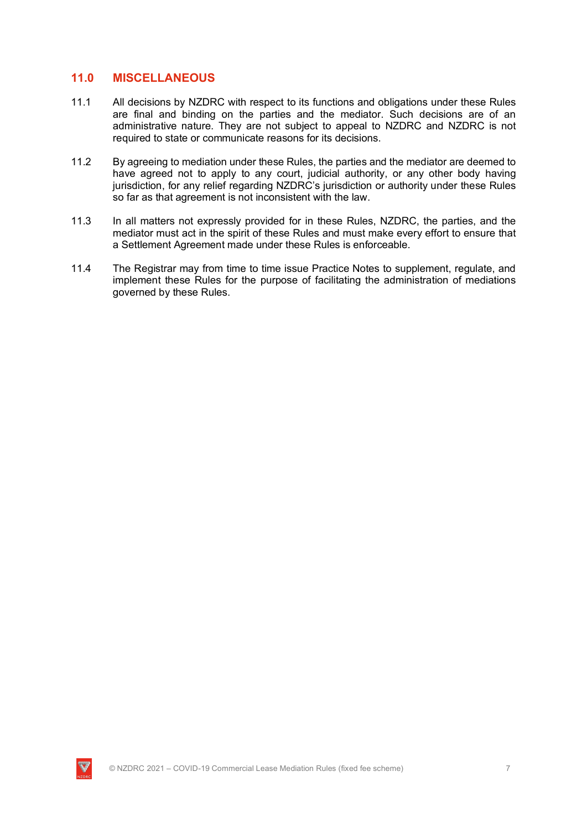#### **11.0 MISCELLANEOUS**

- 11.1 All decisions by NZDRC with respect to its functions and obligations under these Rules are final and binding on the parties and the mediator. Such decisions are of an administrative nature. They are not subject to appeal to NZDRC and NZDRC is not required to state or communicate reasons for its decisions.
- 11.2 By agreeing to mediation under these Rules, the parties and the mediator are deemed to have agreed not to apply to any court, judicial authority, or any other body having jurisdiction, for any relief regarding NZDRC's jurisdiction or authority under these Rules so far as that agreement is not inconsistent with the law.
- 11.3 In all matters not expressly provided for in these Rules, NZDRC, the parties, and the mediator must act in the spirit of these Rules and must make every effort to ensure that a Settlement Agreement made under these Rules is enforceable.
- 11.4 The Registrar may from time to time issue Practice Notes to supplement, regulate, and implement these Rules for the purpose of facilitating the administration of mediations governed by these Rules.